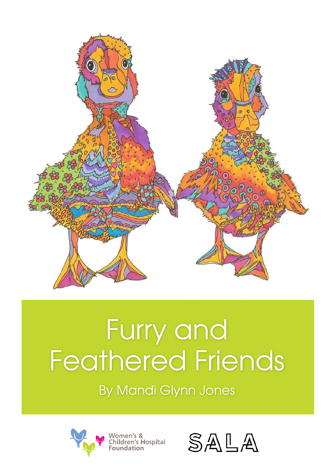

## Furry and Feathered Friends<br>By Mandi Glynn Jones



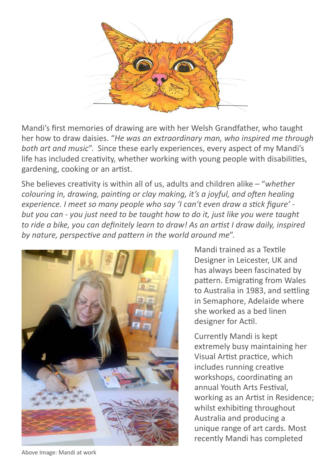

Mandi's first memories of drawing are with her Welsh Grandfather, who taught her how to draw daisies. "*He was an extraordinary man, who inspired me through both art and music*". Since these early experiences, every aspect of my Mandi's life has included creativity, whether working with young people with disabilities, gardening, cooking or an artist.

She believes creativity is within all of us, adults and children alike – "*whether colouring in, drawing, painting or clay making, it's a joyful, and often healing experience. I meet so many people who say 'I can't even draw a stick figure' but you can - you just need to be taught how to do it, just like you were taught to ride a bike, you can definitely learn to draw! As an artist I draw daily, inspired by nature, perspective and pattern in the world around me*".



Mandi trained as a Textile Designer in Leicester, UK and has always been fascinated by pattern. Emigrating from Wales to Australia in 1983, and settling in Semaphore, Adelaide where she worked as a bed linen designer for Actil.

Currently Mandi is kept extremely busy maintaining her Visual Artist practice, which includes running creative workshops, coordinating an annual Youth Arts Festival, working as an Artist in Residence; whilst exhibiting throughout Australia and producing a unique range of art cards. Most recently Mandi has completed

Above Image: Mandi at work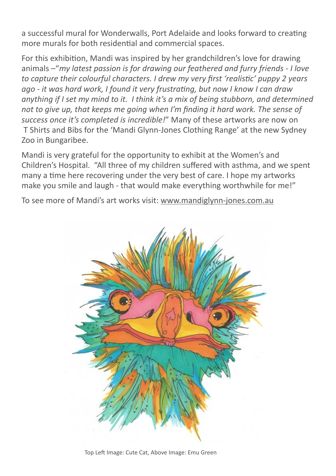a successful mural for Wonderwalls, Port Adelaide and looks forward to creating more murals for both residential and commercial spaces.

For this exhibition, Mandi was inspired by her grandchildren's love for drawing animals –"*my latest passion is for drawing our feathered and furry friends - I love to capture their colourful characters. I drew my very first 'realistic' puppy 2 years ago - it was hard work, I found it very frustrating, but now I know I can draw anything if I set my mind to it. I think it's a mix of being stubborn, and determined not to give up, that keeps me going when I'm finding it hard work. The sense of success once it's completed is incredible!*" Many of these artworks are now on T Shirts and Bibs for the 'Mandi Glynn-Jones Clothing Range' at the new Sydney Zoo in Bungaribee.

Mandi is very grateful for the opportunity to exhibit at the Women's and Children's Hospital. "All three of my children suffered with asthma, and we spent many a time here recovering under the very best of care. I hope my artworks make you smile and laugh - that would make everything worthwhile for me!"

To see more of Mandi's art works visit: www.mandiglynn-jones.com.au



Top Left Image: Cute Cat, Above Image: Emu Green